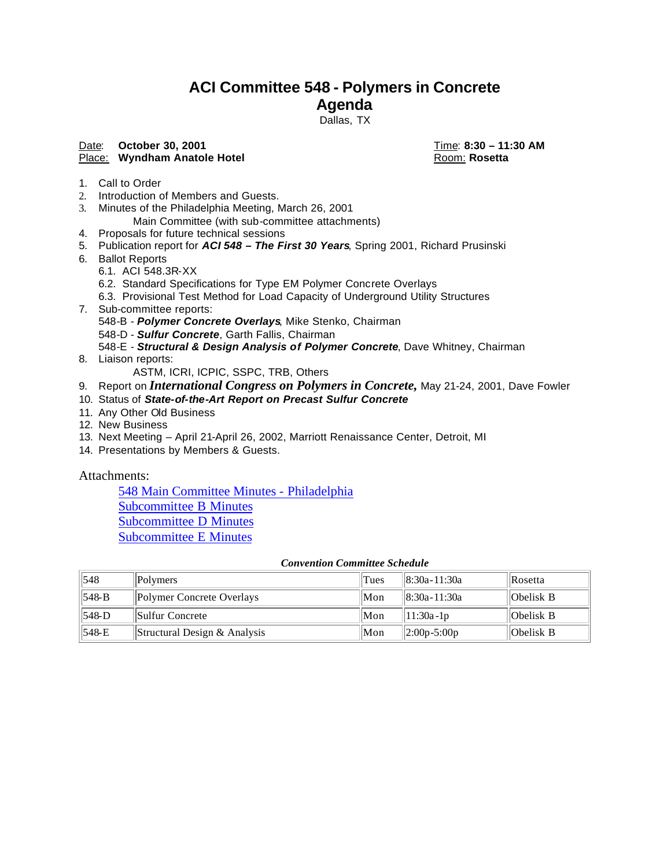# **ACI Committee 548 - Polymers in Concrete**

# **Agenda**

Dallas, TX

## Date: **October 30, 2001 Date: <b>Date: October 30, 2001**

#### Place: **Wyndham Anatole Hotel Room: Rosetta** Room: **Rosetta**

- 1. Call to Order
- 2. Introduction of Members and Guests.
- 3. Minutes of the Philadelphia Meeting, March 26, 2001 Main Committee (with sub-committee attachments)
- 4. Proposals for future technical sessions
- 5. Publication report for *ACI 548 The First 30 Years*, Spring 2001, Richard Prusinski
- 6. Ballot Reports
	- 6.1. ACI 548.3R-XX
	- 6.2. Standard Specifications for Type EM Polymer Concrete Overlays
	- 6.3. Provisional Test Method for Load Capacity of Underground Utility Structures
- 7. Sub-committee reports:
	- 548-B *Polymer Concrete Overlays*, Mike Stenko, Chairman
	- 548-D *Sulfur Concrete*, Garth Fallis, Chairman
	- 548-E *Structural & Design Analysis of Polymer Concrete*, Dave Whitney, Chairman
- 8. Liaison reports:

ASTM, ICRI, ICPIC, SSPC, TRB, Others

- 9. Report on *International Congress on Polymers in Concrete,* May 21-24, 2001, Dave Fowler
- 10. Status of *State-of-the-Art Report on Precast Sulfur Concrete*
- 11. Any Other Old Business
- 12. New Business
- 13. Next Meeting April 21-April 26, 2002, Marriott Renaissance Center, Detroit, MI
- 14. Presentations by Members & Guests.

Attachments:

548 Main Committee Minutes - Philadelphia Subcommittee B Minutes Subcommittee D Minutes Subcommittee E Minutes

#### *Convention Committee Schedule*

| 1548     | <b>Polymers</b>              | Tues | 8:30a - 11:30a    | <b>Rosetta</b> |
|----------|------------------------------|------|-------------------|----------------|
| $ 548-B$ | Polymer Concrete Overlays    | Mon  | 8:30a - 11:30a    | Obelisk B      |
| 548-D    | Sulfur Concrete              | Mon  | 11:30a - 1p       | Obelisk B      |
| $1548-E$ | Structural Design & Analysis | Mon  | $  2:00p - 5:00p$ | Obelisk B      |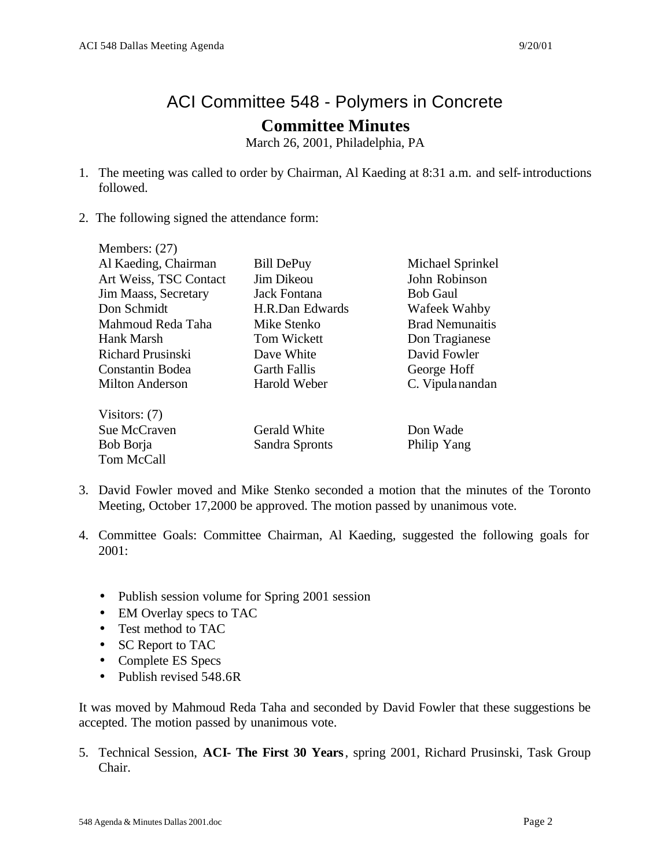# ACI Committee 548 - Polymers in Concrete

# **Committee Minutes**

March 26, 2001, Philadelphia, PA

- 1. The meeting was called to order by Chairman, Al Kaeding at 8:31 a.m. and self-introductions followed.
- 2. The following signed the attendance form:

| Members: $(27)$          |                     |                        |
|--------------------------|---------------------|------------------------|
| Al Kaeding, Chairman     | <b>Bill DePuy</b>   | Michael Sprinkel       |
| Art Weiss, TSC Contact   | <b>Jim Dikeou</b>   | John Robinson          |
| Jim Maass, Secretary     | Jack Fontana        | <b>Bob Gaul</b>        |
| Don Schmidt              | H.R.Dan Edwards     | Wafeek Wahby           |
| Mahmoud Reda Taha        | Mike Stenko         | <b>Brad Nemunaitis</b> |
| Hank Marsh               | Tom Wickett         | Don Tragianese         |
| <b>Richard Prusinski</b> | Dave White          | David Fowler           |
| Constantin Bodea         | <b>Garth Fallis</b> | George Hoff            |
| <b>Milton Anderson</b>   | Harold Weber        | C. Vipula nandan       |
| Visitors: $(7)$          |                     |                        |
| Sue McCraven             | Gerald White        | Don Wade               |
| Bob Borja                | Sandra Spronts      | Philip Yang            |
| Tom McCall               |                     |                        |

- 3. David Fowler moved and Mike Stenko seconded a motion that the minutes of the Toronto Meeting, October 17,2000 be approved. The motion passed by unanimous vote.
- 4. Committee Goals: Committee Chairman, Al Kaeding, suggested the following goals for 2001:
	- Publish session volume for Spring 2001 session
	- EM Overlay specs to TAC
	- Test method to TAC
	- SC Report to TAC
	- Complete ES Specs
	- Publish revised 548.6R

It was moved by Mahmoud Reda Taha and seconded by David Fowler that these suggestions be accepted. The motion passed by unanimous vote.

5. Technical Session, **ACI- The First 30 Years**, spring 2001, Richard Prusinski, Task Group Chair.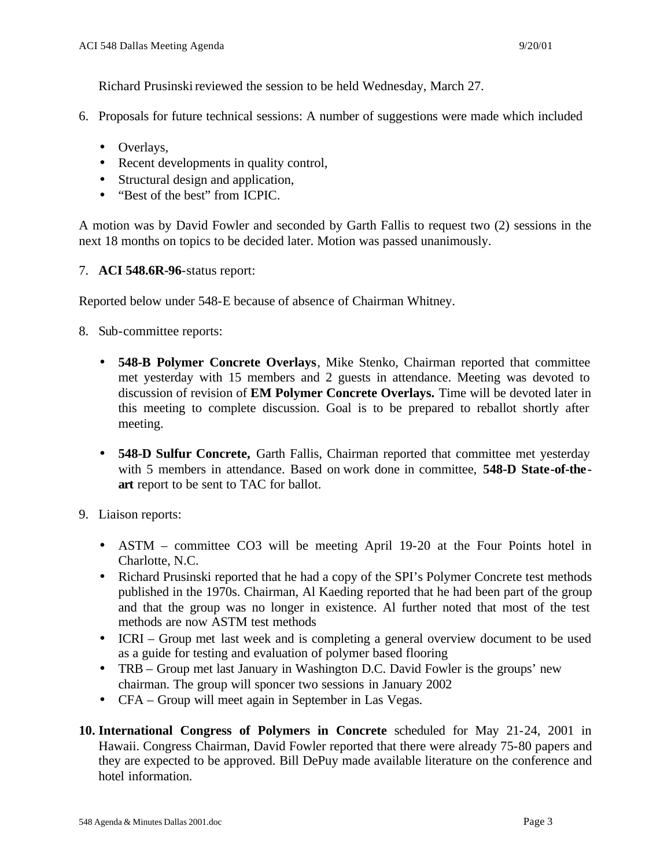Richard Prusinski reviewed the session to be held Wednesday, March 27.

- 6. Proposals for future technical sessions: A number of suggestions were made which included
	- Overlays,
	- Recent developments in quality control,
	- Structural design and application,
	- "Best of the best" from ICPIC.

A motion was by David Fowler and seconded by Garth Fallis to request two (2) sessions in the next 18 months on topics to be decided later. Motion was passed unanimously.

7. **ACI 548.6R-96**-status report:

Reported below under 548-E because of absence of Chairman Whitney.

- 8. Sub-committee reports:
	- **548-B Polymer Concrete Overlays**, Mike Stenko, Chairman reported that committee met yesterday with 15 members and 2 guests in attendance. Meeting was devoted to discussion of revision of **EM Polymer Concrete Overlays.** Time will be devoted later in this meeting to complete discussion. Goal is to be prepared to reballot shortly after meeting.
	- **548-D Sulfur Concrete,** Garth Fallis, Chairman reported that committee met yesterday with 5 members in attendance. Based on work done in committee, **548-D State-of-theart** report to be sent to TAC for ballot.
- 9. Liaison reports:
	- ASTM committee CO3 will be meeting April 19-20 at the Four Points hotel in Charlotte, N.C.
	- Richard Prusinski reported that he had a copy of the SPI's Polymer Concrete test methods published in the 1970s. Chairman, Al Kaeding reported that he had been part of the group and that the group was no longer in existence. Al further noted that most of the test methods are now ASTM test methods
	- ICRI Group met last week and is completing a general overview document to be used as a guide for testing and evaluation of polymer based flooring
	- TRB Group met last January in Washington D.C. David Fowler is the groups' new chairman. The group will sponcer two sessions in January 2002
	- CFA Group will meet again in September in Las Vegas.
- **10. International Congress of Polymers in Concrete** scheduled for May 21-24, 2001 in Hawaii. Congress Chairman, David Fowler reported that there were already 75-80 papers and they are expected to be approved. Bill DePuy made available literature on the conference and hotel information.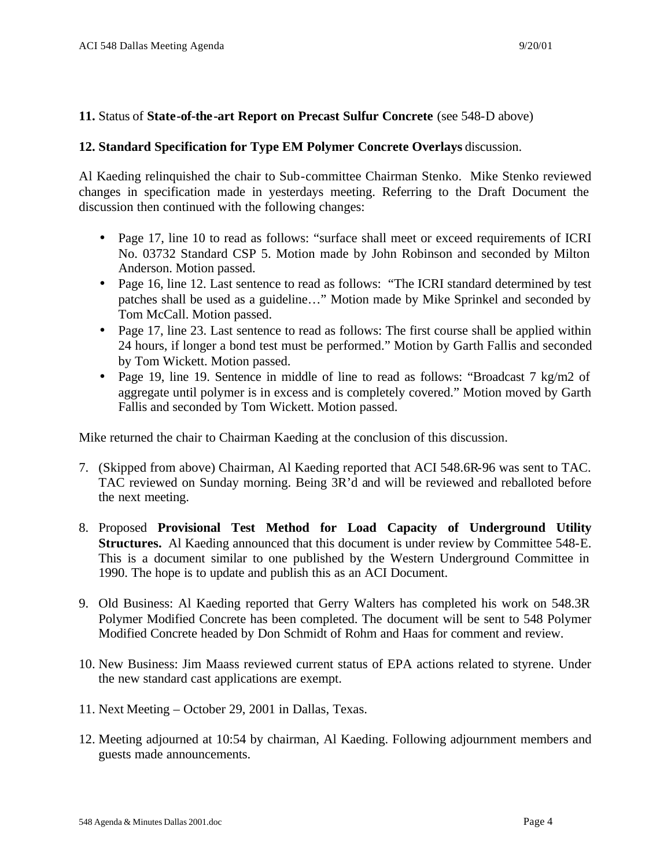### **11.** Status of **State-of-the-art Report on Precast Sulfur Concrete** (see 548-D above)

### **12. Standard Specification for Type EM Polymer Concrete Overlays** discussion.

Al Kaeding relinquished the chair to Sub-committee Chairman Stenko. Mike Stenko reviewed changes in specification made in yesterdays meeting. Referring to the Draft Document the discussion then continued with the following changes:

- Page 17, line 10 to read as follows: "surface shall meet or exceed requirements of ICRI No. 03732 Standard CSP 5. Motion made by John Robinson and seconded by Milton Anderson. Motion passed.
- Page 16, line 12. Last sentence to read as follows: "The ICRI standard determined by test patches shall be used as a guideline…" Motion made by Mike Sprinkel and seconded by Tom McCall. Motion passed.
- Page 17, line 23. Last sentence to read as follows: The first course shall be applied within 24 hours, if longer a bond test must be performed." Motion by Garth Fallis and seconded by Tom Wickett. Motion passed.
- Page 19, line 19. Sentence in middle of line to read as follows: "Broadcast 7 kg/m2 of aggregate until polymer is in excess and is completely covered." Motion moved by Garth Fallis and seconded by Tom Wickett. Motion passed.

Mike returned the chair to Chairman Kaeding at the conclusion of this discussion.

- 7. (Skipped from above) Chairman, Al Kaeding reported that ACI 548.6R-96 was sent to TAC. TAC reviewed on Sunday morning. Being 3R'd and will be reviewed and reballoted before the next meeting.
- 8. Proposed **Provisional Test Method for Load Capacity of Underground Utility Structures.** Al Kaeding announced that this document is under review by Committee 548-E. This is a document similar to one published by the Western Underground Committee in 1990. The hope is to update and publish this as an ACI Document.
- 9. Old Business: Al Kaeding reported that Gerry Walters has completed his work on 548.3R Polymer Modified Concrete has been completed. The document will be sent to 548 Polymer Modified Concrete headed by Don Schmidt of Rohm and Haas for comment and review.
- 10. New Business: Jim Maass reviewed current status of EPA actions related to styrene. Under the new standard cast applications are exempt.
- 11. Next Meeting October 29, 2001 in Dallas, Texas.
- 12. Meeting adjourned at 10:54 by chairman, Al Kaeding. Following adjournment members and guests made announcements.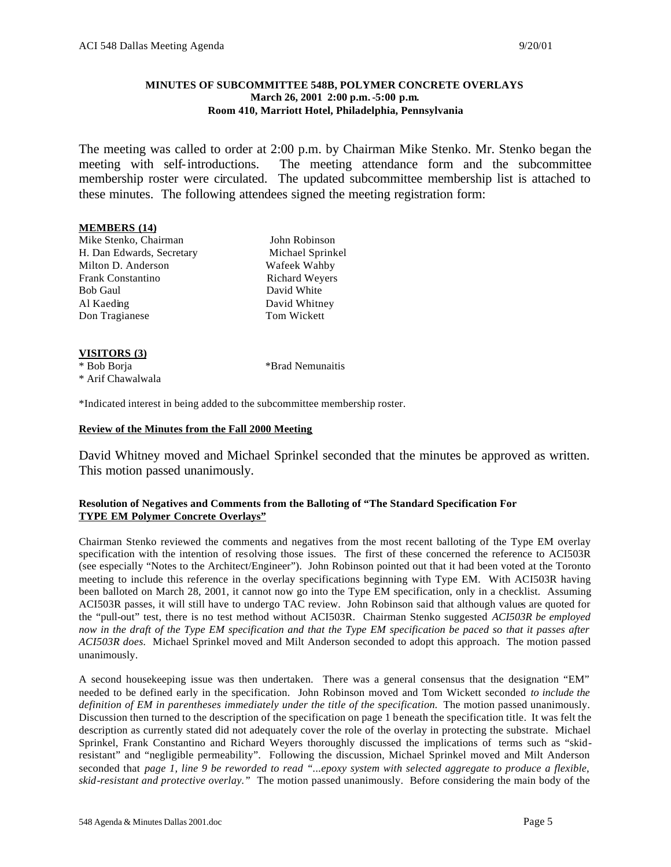#### **MINUTES OF SUBCOMMITTEE 548B, POLYMER CONCRETE OVERLAYS March 26, 2001 2:00 p.m.-5:00 p.m. Room 410, Marriott Hotel, Philadelphia, Pennsylvania**

The meeting was called to order at 2:00 p.m. by Chairman Mike Stenko. Mr. Stenko began the meeting with self-introductions. The meeting attendance form and the subcommittee membership roster were circulated. The updated subcommittee membership list is attached to these minutes. The following attendees signed the meeting registration form:

#### **MEMBERS (14)**

Mike Stenko, Chairman John Robinson H. Dan Edwards, Secretary Michael Sprinkel Milton D. Anderson Wafeek Wahby Frank Constantino Richard Weyers Bob Gaul David White Al Kaeding David Whitney Don Tragianese Tom Wickett

#### **VISITORS (3)**

\* Bob Borja \*Brad Nemunaitis \* Arif Chawalwala

\*Indicated interest in being added to the subcommittee membership roster.

#### **Review of the Minutes from the Fall 2000 Meeting**

David Whitney moved and Michael Sprinkel seconded that the minutes be approved as written. This motion passed unanimously.

#### **Resolution of Negatives and Comments from the Balloting of "The Standard Specification For TYPE EM Polymer Concrete Overlays"**

Chairman Stenko reviewed the comments and negatives from the most recent balloting of the Type EM overlay specification with the intention of resolving those issues. The first of these concerned the reference to ACI503R (see especially "Notes to the Architect/Engineer"). John Robinson pointed out that it had been voted at the Toronto meeting to include this reference in the overlay specifications beginning with Type EM. With ACI503R having been balloted on March 28, 2001, it cannot now go into the Type EM specification, only in a checklist. Assuming ACI503R passes, it will still have to undergo TAC review. John Robinson said that although values are quoted for the "pull-out" test, there is no test method without ACI503R. Chairman Stenko suggested *ACI503R be employed now in the draft of the Type EM specification and that the Type EM specification be paced so that it passes after ACI503R does.* Michael Sprinkel moved and Milt Anderson seconded to adopt this approach. The motion passed unanimously.

A second housekeeping issue was then undertaken. There was a general consensus that the designation "EM" needed to be defined early in the specification. John Robinson moved and Tom Wickett seconded *to include the definition of EM in parentheses immediately under the title of the specification.* The motion passed unanimously. Discussion then turned to the description of the specification on page 1 beneath the specification title. It was felt the description as currently stated did not adequately cover the role of the overlay in protecting the substrate. Michael Sprinkel, Frank Constantino and Richard Weyers thoroughly discussed the implications of terms such as "skidresistant" and "negligible permeability". Following the discussion, Michael Sprinkel moved and Milt Anderson seconded that *page 1, line 9 be reworded to read "...epoxy system with selected aggregate to produce a flexible, skid-resistant and protective overlay."* The motion passed unanimously. Before considering the main body of the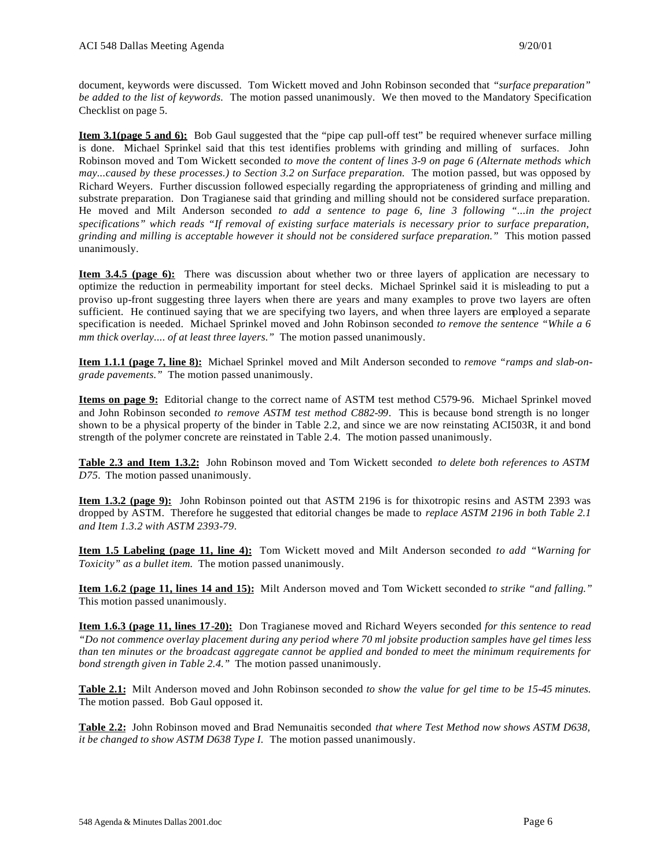document, keywords were discussed. Tom Wickett moved and John Robinson seconded that *"surface preparation" be added to the list of keywords.* The motion passed unanimously. We then moved to the Mandatory Specification Checklist on page 5.

**Item 3.1(page 5 and 6):** Bob Gaul suggested that the "pipe cap pull-off test" be required whenever surface milling is done. Michael Sprinkel said that this test identifies problems with grinding and milling of surfaces. John Robinson moved and Tom Wickett seconded *to move the content of lines 3-9 on page 6 (Alternate methods which may...caused by these processes.) to Section 3.2 on Surface preparation.* The motion passed, but was opposed by Richard Weyers. Further discussion followed especially regarding the appropriateness of grinding and milling and substrate preparation. Don Tragianese said that grinding and milling should not be considered surface preparation. He moved and Milt Anderson seconded *to add a sentence to page 6, line 3 following "...in the project specifications" which reads "If removal of existing surface materials is necessary prior to surface preparation, grinding and milling is acceptable however it should not be considered surface preparation."* This motion passed unanimously.

**Item 3.4.5 (page 6):** There was discussion about whether two or three layers of application are necessary to optimize the reduction in permeability important for steel decks. Michael Sprinkel said it is misleading to put a proviso up-front suggesting three layers when there are years and many examples to prove two layers are often sufficient. He continued saying that we are specifying two layers, and when three layers are employed a separate specification is needed. Michael Sprinkel moved and John Robinson seconded *to remove the sentence "While a 6 mm thick overlay.... of at least three layers."* The motion passed unanimously.

**Item 1.1.1 (page 7, line 8):** Michael Sprinkel moved and Milt Anderson seconded to *remove "ramps and slab-ongrade pavements."* The motion passed unanimously.

**Items on page 9:** Editorial change to the correct name of ASTM test method C579-96. Michael Sprinkel moved and John Robinson seconded *to remove ASTM test method C882-99*. This is because bond strength is no longer shown to be a physical property of the binder in Table 2.2, and since we are now reinstating ACI503R, it and bond strength of the polymer concrete are reinstated in Table 2.4. The motion passed unanimously.

**Table 2.3 and Item 1.3.2:** John Robinson moved and Tom Wickett seconded *to delete both references to ASTM D75.* The motion passed unanimously.

**Item 1.3.2 (page 9):** John Robinson pointed out that ASTM 2196 is for thixotropic resins and ASTM 2393 was dropped by ASTM. Therefore he suggested that editorial changes be made to *replace ASTM 2196 in both Table 2.1 and Item 1.3.2 with ASTM 2393-79.*

**Item 1.5 Labeling (page 11, line 4):** Tom Wickett moved and Milt Anderson seconded *to add "Warning for Toxicity" as a bullet item.* The motion passed unanimously.

**Item 1.6.2 (page 11, lines 14 and 15):** Milt Anderson moved and Tom Wickett seconded *to strike "and falling."* This motion passed unanimously.

**Item 1.6.3 (page 11, lines 17-20):** Don Tragianese moved and Richard Weyers seconded *for this sentence to read "Do not commence overlay placement during any period where 70 ml jobsite production samples have gel times less than ten minutes or the broadcast aggregate cannot be applied and bonded to meet the minimum requirements for bond strength given in Table 2.4."* The motion passed unanimously.

**Table 2.1:** Milt Anderson moved and John Robinson seconded *to show the value for gel time to be 15-45 minutes.*  The motion passed. Bob Gaul opposed it.

**Table 2.2:** John Robinson moved and Brad Nemunaitis seconded *that where Test Method now shows ASTM D638, it be changed to show ASTM D638 Type I.* The motion passed unanimously.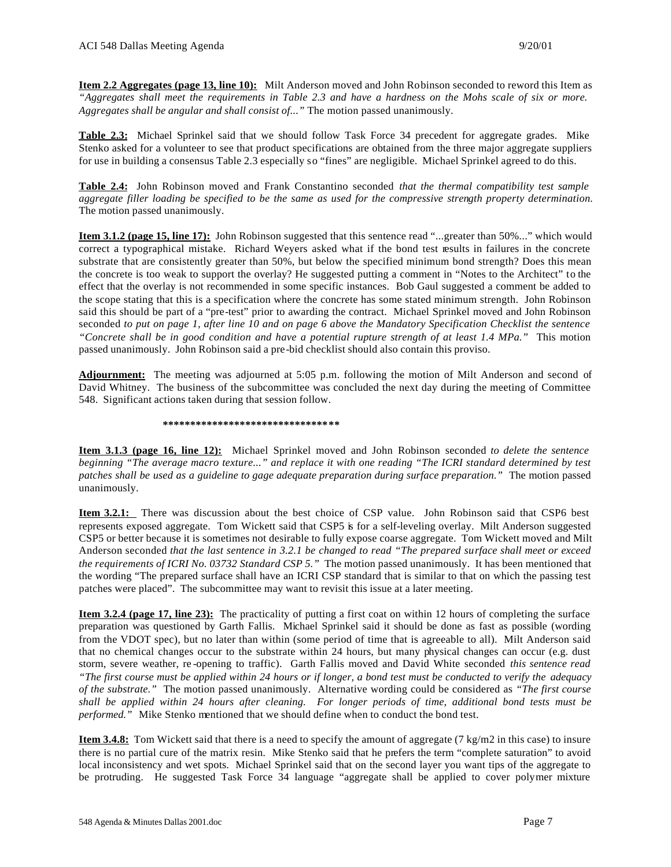**Item 2.2 Aggregates (page 13, line 10):** Milt Anderson moved and John Robinson seconded to reword this Item as *"Aggregates shall meet the requirements in Table 2.3 and have a hardness on the Mohs scale of six or more. Aggregates shall be angular and shall consist of..."* The motion passed unanimously.

**Table 2.3:** Michael Sprinkel said that we should follow Task Force 34 precedent for aggregate grades. Mike Stenko asked for a volunteer to see that product specifications are obtained from the three major aggregate suppliers for use in building a consensus Table 2.3 especially so "fines" are negligible. Michael Sprinkel agreed to do this.

**Table 2.4:** John Robinson moved and Frank Constantino seconded *that the thermal compatibility test sample aggregate filler loading be specified to be the same as used for the compressive strength property determination.* The motion passed unanimously.

**Item 3.1.2 (page 15, line 17):** John Robinson suggested that this sentence read "...greater than 50%..." which would correct a typographical mistake. Richard Weyers asked what if the bond test results in failures in the concrete substrate that are consistently greater than 50%, but below the specified minimum bond strength? Does this mean the concrete is too weak to support the overlay? He suggested putting a comment in "Notes to the Architect" to the effect that the overlay is not recommended in some specific instances. Bob Gaul suggested a comment be added to the scope stating that this is a specification where the concrete has some stated minimum strength. John Robinson said this should be part of a "pre-test" prior to awarding the contract. Michael Sprinkel moved and John Robinson seconded *to put on page 1, after line 10 and on page 6 above the Mandatory Specification Checklist the sentence "Concrete shall be in good condition and have a potential rupture strength of at least 1.4 MPa."* This motion passed unanimously. John Robinson said a pre-bid checklist should also contain this proviso.

**Adjournment:** The meeting was adjourned at 5:05 p.m. following the motion of Milt Anderson and second of David Whitney. The business of the subcommittee was concluded the next day during the meeting of Committee 548. Significant actions taken during that session follow.

#### **\*\*\*\*\*\*\*\*\*\*\*\*\*\*\*\*\*\*\*\*\*\*\*\*\*\*\*\*\*\*\*\***

**Item 3.1.3 (page 16, line 12):** Michael Sprinkel moved and John Robinson seconded *to delete the sentence beginning "The average macro texture..." and replace it with one reading "The ICRI standard determined by test patches shall be used as a guideline to gage adequate preparation during surface preparation."* The motion passed unanimously.

**Item 3.2.1:** There was discussion about the best choice of CSP value. John Robinson said that CSP6 best represents exposed aggregate. Tom Wickett said that CSP5 is for a self-leveling overlay. Milt Anderson suggested CSP5 or better because it is sometimes not desirable to fully expose coarse aggregate. Tom Wickett moved and Milt Anderson seconded *that the last sentence in 3.2.1 be changed to read "The prepared surface shall meet or exceed the requirements of ICRI No. 03732 Standard CSP 5."* The motion passed unanimously. It has been mentioned that the wording "The prepared surface shall have an ICRI CSP standard that is similar to that on which the passing test patches were placed". The subcommittee may want to revisit this issue at a later meeting.

**Item 3.2.4 (page 17, line 23):** The practicality of putting a first coat on within 12 hours of completing the surface preparation was questioned by Garth Fallis. Michael Sprinkel said it should be done as fast as possible (wording from the VDOT spec), but no later than within (some period of time that is agreeable to all). Milt Anderson said that no chemical changes occur to the substrate within 24 hours, but many physical changes can occur (e.g. dust storm, severe weather, re -opening to traffic). Garth Fallis moved and David White seconded *this sentence read "The first course must be applied within 24 hours or if longer, a bond test must be conducted to verify the adequacy of the substrate."* The motion passed unanimously. Alternative wording could be considered as *"The first course shall be applied within 24 hours after cleaning. For longer periods of time, additional bond tests must be performed."* Mike Stenko mentioned that we should define when to conduct the bond test.

**Item 3.4.8:** Tom Wickett said that there is a need to specify the amount of aggregate (7 kg/m2 in this case) to insure there is no partial cure of the matrix resin. Mike Stenko said that he prefers the term "complete saturation" to avoid local inconsistency and wet spots. Michael Sprinkel said that on the second layer you want tips of the aggregate to be protruding. He suggested Task Force 34 language "aggregate shall be applied to cover polymer mixture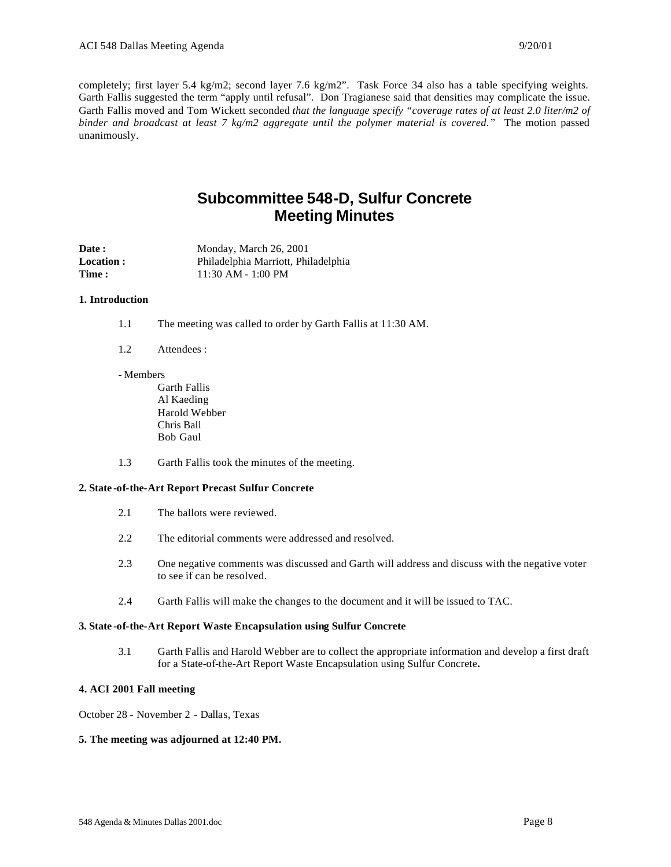completely; first layer 5.4 kg/m2; second layer 7.6 kg/m2". Task Force 34 also has a table specifying weights. Garth Fallis suggested the term "apply until refusal". Don Tragianese said that densities may complicate the issue. Garth Fallis moved and Tom Wickett seconded *that the language specify "coverage rates of at least 2.0 liter/m2 of binder and broadcast at least 7 kg/m2 aggregate until the polymer material is covered."* The motion passed unanimously.

## **Subcommittee 548-D, Sulfur Concrete Meeting Minutes**

| <b>Date :</b>     | Monday, March 26, 2001              |
|-------------------|-------------------------------------|
| <b>Location :</b> | Philadelphia Marriott, Philadelphia |
| <b>Time :</b>     | $11:30$ AM - $1:00$ PM              |

#### **1. Introduction**

- 1.1 The meeting was called to order by Garth Fallis at 11:30 AM.
- 1.2 Attendees :
- Members

Garth Fallis Al Kaeding Harold Webber Chris Ball Bob Gaul

1.3 Garth Fallis took the minutes of the meeting.

#### **2. State -of-the-Art Report Precast Sulfur Concrete**

- 2.1 The ballots were reviewed.
- 2.2 The editorial comments were addressed and resolved.
- 2.3 One negative comments was discussed and Garth will address and discuss with the negative voter to see if can be resolved.
- 2.4 Garth Fallis will make the changes to the document and it will be issued to TAC.

#### **3. State -of-the-Art Report Waste Encapsulation using Sulfur Concrete**

3.1 Garth Fallis and Harold Webber are to collect the appropriate information and develop a first draft for a State-of-the-Art Report Waste Encapsulation using Sulfur Concrete**.**

#### **4. ACI 2001 Fall meeting**

October 28 - November 2 - Dallas, Texas

#### **5. The meeting was adjourned at 12:40 PM.**